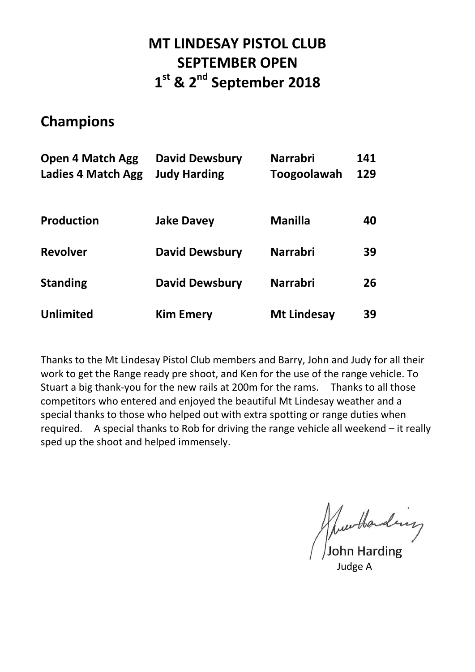# **MT LINDESAY PISTOL CLUB SEPTEMBER OPEN 1 st & 2 nd September 2018**

### **Champions**

| <b>Open 4 Match Agg</b><br>Ladies 4 Match Agg | <b>David Dewsbury</b><br><b>Judy Harding</b> | <b>Narrabri</b><br>Toogoolawah | 141<br>129 |
|-----------------------------------------------|----------------------------------------------|--------------------------------|------------|
| <b>Production</b>                             | <b>Jake Davey</b>                            | Manilla                        | 40         |
| <b>Revolver</b>                               | <b>David Dewsbury</b>                        | <b>Narrabri</b>                | 39         |
| <b>Standing</b>                               | <b>David Dewsbury</b>                        | <b>Narrabri</b>                | 26         |
| <b>Unlimited</b>                              | <b>Kim Emery</b>                             | <b>Mt Lindesay</b>             | 39         |

Thanks to the Mt Lindesay Pistol Club members and Barry, John and Judy for all their work to get the Range ready pre shoot, and Ken for the use of the range vehicle. To Stuart a big thank-you for the new rails at 200m for the rams. Thanks to all those competitors who entered and enjoyed the beautiful Mt Lindesay weather and a special thanks to those who helped out with extra spotting or range duties when required. A special thanks to Rob for driving the range vehicle all weekend – it really sped up the shoot and helped immensely.

Huwthending<br>John Harding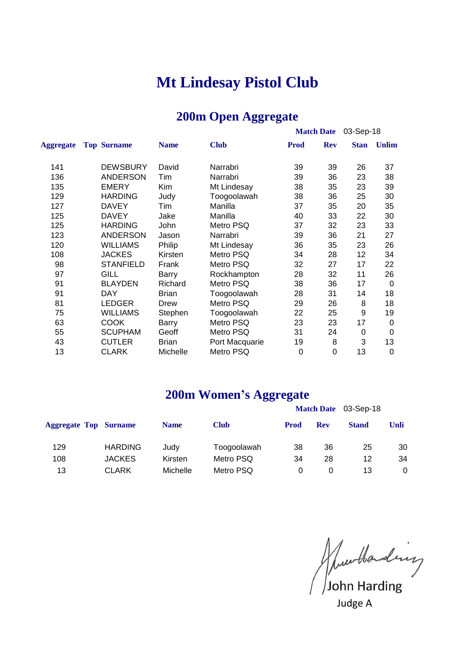#### **200m Open Aggregate**

|           |                    |              |                |             | <b>Match Date</b> | 03-Sep-18   |              |  |
|-----------|--------------------|--------------|----------------|-------------|-------------------|-------------|--------------|--|
| Aggregate | <b>Top Surname</b> | <b>Name</b>  | <b>Club</b>    | <b>Prod</b> | <b>Rev</b>        | <b>Stan</b> | <b>Unlim</b> |  |
| 141       | <b>DEWSBURY</b>    | David        | Narrabri       | 39          | 39                | 26          | 37           |  |
| 136       | <b>ANDERSON</b>    | Tim          | Narrabri       | 39          | 36                | 23          | 38           |  |
| 135       | <b>EMERY</b>       | <b>Kim</b>   | Mt Lindesay    | 38          | 35                | 23          | 39           |  |
| 129       | <b>HARDING</b>     | Judy         | Toogoolawah    | 38          | 36                | 25          | 30           |  |
| 127       | <b>DAVEY</b>       | Tim          | Manilla        | 37          | 35                | 20          | 35           |  |
| 125       | <b>DAVEY</b>       | Jake         | Manilla        | 40          | 33                | 22          | 30           |  |
| 125       | <b>HARDING</b>     | John         | Metro PSQ      | 37          | 32                | 23          | 33           |  |
| 123       | <b>ANDERSON</b>    | Jason        | Narrabri       | 39          | 36                | 21          | 27           |  |
| 120       | <b>WILLIAMS</b>    | Philip       | Mt Lindesay    | 36          | 35                | 23          | 26           |  |
| 108       | <b>JACKES</b>      | Kirsten      | Metro PSQ      | 34          | 28                | 12          | 34           |  |
| 98        | <b>STANFIELD</b>   | Frank        | Metro PSQ      | 32          | 27                | 17          | 22           |  |
| 97        | GILL               | Barry        | Rockhampton    | 28          | 32                | 11          | 26           |  |
| 91        | <b>BLAYDEN</b>     | Richard      | Metro PSQ      | 38          | 36                | 17          | 0            |  |
| 91        | <b>DAY</b>         | <b>Brian</b> | Toogoolawah    | 28          | 31                | 14          | 18           |  |
| 81        | <b>LEDGER</b>      | Drew         | Metro PSQ      | 29          | 26                | 8           | 18           |  |
| 75        | <b>WILLIAMS</b>    | Stephen      | Toogoolawah    | 22          | 25                | 9           | 19           |  |
| 63        | <b>COOK</b>        | Barry        | Metro PSQ      | 23          | 23                | 17          | 0            |  |
| 55        | <b>SCUPHAM</b>     | Geoff        | Metro PSQ      | 31          | 24                | 0           | 0            |  |
| 43        | <b>CUTLER</b>      | <b>Brian</b> | Port Macquarie | 19          | 8                 | 3           | 13           |  |
| 13        | <b>CLARK</b>       | Michelle     | Metro PSQ      | 0           | 0                 | 13          | 0            |  |

#### **200m Women's Aggregate**

|                |                              | <b>Name</b> | <b>Club</b> | <b>Prod</b> | <b>Rev</b> | <b>Stand</b> | Unli                 |  |
|----------------|------------------------------|-------------|-------------|-------------|------------|--------------|----------------------|--|
| <b>HARDING</b> |                              | Judy        | Toogoolawah | 38          | 36         | 25           | 30                   |  |
| <b>JACKES</b>  |                              | Kirsten     | Metro PSQ   | 34          | 28         | 12           | 34                   |  |
| CLARK          |                              | Michelle    | Metro PSQ   | 0           |            | 13           | 0                    |  |
|                | <b>Aggregate Top Surname</b> |             |             |             |            |              | Match Date 03-Sep-18 |  |

Muntbanding

Judge A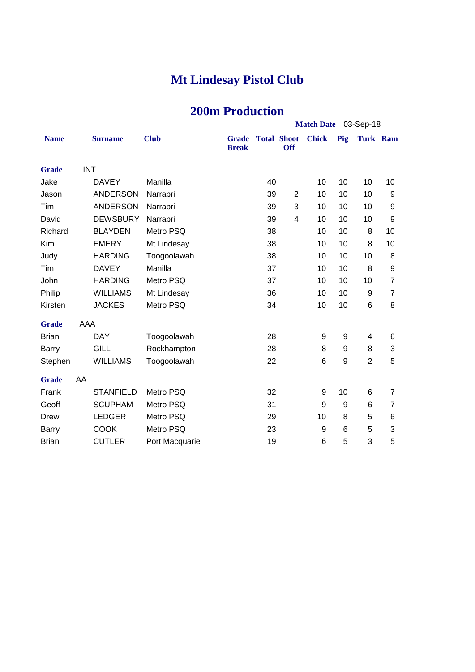#### **200m Production**

|              |            |                  |                |                              | <b>Match Date</b><br>03-Sep-18 |                                  |              |     |                 |                  |
|--------------|------------|------------------|----------------|------------------------------|--------------------------------|----------------------------------|--------------|-----|-----------------|------------------|
| <b>Name</b>  |            | <b>Surname</b>   | <b>Club</b>    | <b>Grade</b><br><b>Break</b> |                                | <b>Total Shoot</b><br><b>Off</b> | <b>Chick</b> | Pig | <b>Turk Ram</b> |                  |
| <b>Grade</b> | <b>INT</b> |                  |                |                              |                                |                                  |              |     |                 |                  |
| Jake         |            | <b>DAVEY</b>     | Manilla        |                              | 40                             |                                  | 10           | 10  | 10              | 10               |
| Jason        |            | <b>ANDERSON</b>  | Narrabri       |                              | 39                             | $\overline{2}$                   | 10           | 10  | 10              | 9                |
| Tim          |            | <b>ANDERSON</b>  | Narrabri       |                              | 39                             | 3                                | 10           | 10  | 10              | 9                |
| David        |            | <b>DEWSBURY</b>  | Narrabri       |                              | 39                             | 4                                | 10           | 10  | 10              | 9                |
| Richard      |            | <b>BLAYDEN</b>   | Metro PSQ      |                              | 38                             |                                  | 10           | 10  | 8               | 10               |
| Kim          |            | <b>EMERY</b>     | Mt Lindesay    |                              | 38                             |                                  | 10           | 10  | 8               | 10               |
| Judy         |            | <b>HARDING</b>   | Toogoolawah    |                              | 38                             |                                  | 10           | 10  | 10              | 8                |
| Tim          |            | <b>DAVEY</b>     | Manilla        |                              | 37                             |                                  | 10           | 10  | 8               | 9                |
| John         |            | <b>HARDING</b>   | Metro PSQ      |                              | 37                             |                                  | 10           | 10  | 10              | $\overline{7}$   |
| Philip       |            | <b>WILLIAMS</b>  | Mt Lindesay    |                              | 36                             |                                  | 10           | 10  | 9               | $\overline{7}$   |
| Kirsten      |            | <b>JACKES</b>    | Metro PSQ      |                              | 34                             |                                  | 10           | 10  | 6               | 8                |
| <b>Grade</b> | AAA        |                  |                |                              |                                |                                  |              |     |                 |                  |
| <b>Brian</b> |            | <b>DAY</b>       | Toogoolawah    |                              | 28                             |                                  | 9            | 9   | 4               | 6                |
| Barry        |            | <b>GILL</b>      | Rockhampton    |                              | 28                             |                                  | 8            | 9   | 8               | 3                |
| Stephen      |            | <b>WILLIAMS</b>  | Toogoolawah    |                              | 22                             |                                  | 6            | 9   | $\overline{2}$  | 5                |
| <b>Grade</b> | AA         |                  |                |                              |                                |                                  |              |     |                 |                  |
| Frank        |            | <b>STANFIELD</b> | Metro PSQ      |                              | 32                             |                                  | 9            | 10  | 6               | $\boldsymbol{7}$ |
| Geoff        |            | <b>SCUPHAM</b>   | Metro PSQ      |                              | 31                             |                                  | 9            | 9   | 6               | $\overline{7}$   |
| <b>Drew</b>  |            | <b>LEDGER</b>    | Metro PSQ      |                              | 29                             |                                  | 10           | 8   | 5               | 6                |
| <b>Barry</b> |            | <b>COOK</b>      | Metro PSQ      |                              | 23                             |                                  | 9            | 6   | 5               | 3                |
| <b>Brian</b> |            | <b>CUTLER</b>    | Port Macquarie |                              | 19                             |                                  | 6            | 5   | 3               | 5                |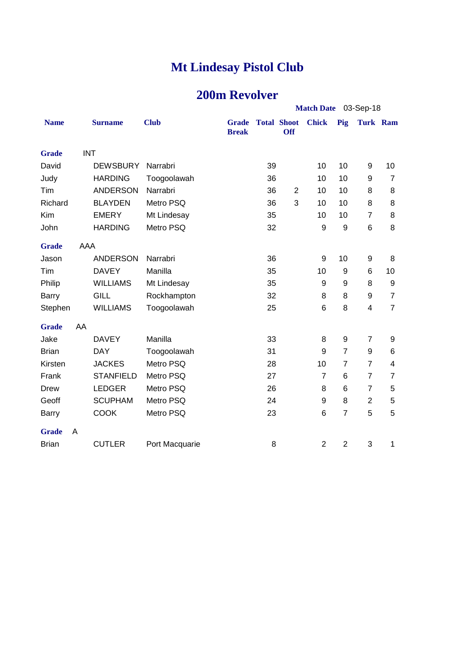#### **200m Revolver**

|              |            |                  |                |                              |    |                                  | Match Date 03-Sep-18 |                |                  |                |
|--------------|------------|------------------|----------------|------------------------------|----|----------------------------------|----------------------|----------------|------------------|----------------|
| <b>Name</b>  |            | <b>Surname</b>   | <b>Club</b>    | <b>Grade</b><br><b>Break</b> |    | <b>Total Shoot</b><br><b>Off</b> | <b>Chick</b>         | Pig            | Turk Ram         |                |
| <b>Grade</b> | <b>INT</b> |                  |                |                              |    |                                  |                      |                |                  |                |
| David        |            | <b>DEWSBURY</b>  | Narrabri       |                              | 39 |                                  | 10                   | 10             | 9                | 10             |
| Judy         |            | <b>HARDING</b>   | Toogoolawah    |                              | 36 |                                  | 10                   | 10             | 9                | $\overline{7}$ |
| Tim          |            | <b>ANDERSON</b>  | Narrabri       |                              | 36 | $\overline{2}$                   | 10                   | 10             | 8                | 8              |
| Richard      |            | <b>BLAYDEN</b>   | Metro PSQ      |                              | 36 | 3                                | 10                   | 10             | 8                | 8              |
| Kim          |            | <b>EMERY</b>     | Mt Lindesay    |                              | 35 |                                  | 10                   | 10             | $\overline{7}$   | 8              |
| John         |            | <b>HARDING</b>   | Metro PSQ      |                              | 32 |                                  | 9                    | 9              | 6                | 8              |
| <b>Grade</b> | AAA        |                  |                |                              |    |                                  |                      |                |                  |                |
| Jason        |            | <b>ANDERSON</b>  | Narrabri       |                              | 36 |                                  | 9                    | 10             | 9                | 8              |
| Tim          |            | <b>DAVEY</b>     | Manilla        |                              | 35 |                                  | 10                   | 9              | 6                | 10             |
| Philip       |            | <b>WILLIAMS</b>  | Mt Lindesay    |                              | 35 |                                  | 9                    | 9              | 8                | 9              |
| <b>Barry</b> |            | <b>GILL</b>      | Rockhampton    |                              | 32 |                                  | 8                    | 8              | $\boldsymbol{9}$ | $\overline{7}$ |
| Stephen      |            | <b>WILLIAMS</b>  | Toogoolawah    |                              | 25 |                                  | 6                    | 8              | $\overline{4}$   | $\overline{7}$ |
| <b>Grade</b> | AA         |                  |                |                              |    |                                  |                      |                |                  |                |
| Jake         |            | <b>DAVEY</b>     | Manilla        |                              | 33 |                                  | 8                    | 9              | $\overline{7}$   | 9              |
| <b>Brian</b> |            | <b>DAY</b>       | Toogoolawah    |                              | 31 |                                  | 9                    | $\overline{7}$ | 9                | $\,6$          |
| Kirsten      |            | <b>JACKES</b>    | Metro PSQ      |                              | 28 |                                  | 10                   | $\overline{7}$ | $\overline{7}$   | 4              |
| Frank        |            | <b>STANFIELD</b> | Metro PSQ      |                              | 27 |                                  | $\overline{7}$       | 6              | $\overline{7}$   | $\overline{7}$ |
| Drew         |            | <b>LEDGER</b>    | Metro PSQ      |                              | 26 |                                  | 8                    | 6              | 7                | 5              |
| Geoff        |            | <b>SCUPHAM</b>   | Metro PSQ      |                              | 24 |                                  | 9                    | 8              | $\overline{2}$   | 5              |
| <b>Barry</b> |            | <b>COOK</b>      | Metro PSQ      |                              | 23 |                                  | 6                    | $\overline{7}$ | 5                | 5              |
| <b>Grade</b> | A          |                  |                |                              |    |                                  |                      |                |                  |                |
| <b>Brian</b> |            | <b>CUTLER</b>    | Port Macquarie |                              | 8  |                                  | $\overline{2}$       | $\overline{2}$ | 3                | 1              |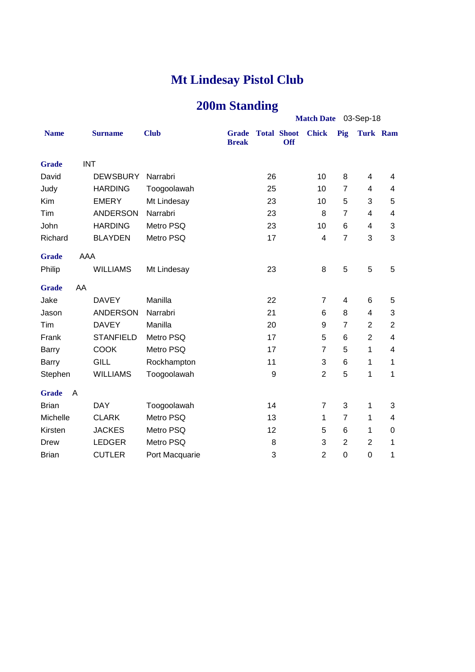## **200m Standing**

|              |            |                  |                |                              |                    | Match Date 03-Sep-18 |                |                 |                |                         |
|--------------|------------|------------------|----------------|------------------------------|--------------------|----------------------|----------------|-----------------|----------------|-------------------------|
| <b>Name</b>  |            | <b>Surname</b>   | <b>Club</b>    | <b>Grade</b><br><b>Break</b> | <b>Total Shoot</b> | <b>Off</b>           | <b>Chick</b>   | Pig             | Turk Ram       |                         |
| <b>Grade</b> | <b>INT</b> |                  |                |                              |                    |                      |                |                 |                |                         |
| David        |            | <b>DEWSBURY</b>  | Narrabri       |                              | 26                 |                      | 10             | 8               | 4              | 4                       |
| Judy         |            | <b>HARDING</b>   | Toogoolawah    |                              | 25                 |                      | 10             | $\overline{7}$  | 4              | 4                       |
| Kim          |            | <b>EMERY</b>     | Mt Lindesay    |                              | 23                 |                      | 10             | 5               | 3              | 5                       |
| Tim          |            | <b>ANDERSON</b>  | Narrabri       |                              | 23                 |                      | 8              | $\overline{7}$  | 4              | 4                       |
| John         |            | <b>HARDING</b>   | Metro PSQ      |                              | 23                 |                      | 10             | $6\phantom{1}6$ | 4              | 3                       |
| Richard      |            | <b>BLAYDEN</b>   | Metro PSQ      |                              | 17                 |                      | 4              | $\overline{7}$  | 3              | 3                       |
| <b>Grade</b> | <b>AAA</b> |                  |                |                              |                    |                      |                |                 |                |                         |
| Philip       |            | <b>WILLIAMS</b>  | Mt Lindesay    |                              | 23                 |                      | 8              | 5               | 5              | 5                       |
| <b>Grade</b> | AA         |                  |                |                              |                    |                      |                |                 |                |                         |
| Jake         |            | <b>DAVEY</b>     | Manilla        |                              | 22                 |                      | 7              | $\overline{4}$  | 6              | 5                       |
| Jason        |            | <b>ANDERSON</b>  | Narrabri       |                              | 21                 |                      | 6              | 8               | 4              | 3                       |
| Tim          |            | <b>DAVEY</b>     | Manilla        |                              | 20                 |                      | 9              | $\overline{7}$  | 2              | $\overline{2}$          |
| Frank        |            | <b>STANFIELD</b> | Metro PSQ      |                              | 17                 |                      | 5              | 6               | $\overline{2}$ | $\overline{\mathbf{4}}$ |
| Barry        |            | <b>COOK</b>      | Metro PSQ      |                              | 17                 |                      | $\overline{7}$ | 5               | 1              | 4                       |
| <b>Barry</b> |            | <b>GILL</b>      | Rockhampton    |                              | 11                 |                      | 3              | 6               | 1              | 1                       |
| Stephen      |            | <b>WILLIAMS</b>  | Toogoolawah    |                              | 9                  |                      | $\overline{2}$ | 5               | 1              | 1                       |
| <b>Grade</b> | A          |                  |                |                              |                    |                      |                |                 |                |                         |
| <b>Brian</b> |            | <b>DAY</b>       | Toogoolawah    |                              | 14                 |                      | $\overline{7}$ | 3               | 1              | 3                       |
| Michelle     |            | <b>CLARK</b>     | Metro PSQ      |                              | 13                 |                      | $\mathbf{1}$   | $\overline{7}$  | 1              | 4                       |
| Kirsten      |            | <b>JACKES</b>    | Metro PSQ      |                              | 12                 |                      | 5              | 6               | 1              | 0                       |
| <b>Drew</b>  |            | <b>LEDGER</b>    | Metro PSQ      |                              | 8                  |                      | 3              | $\overline{2}$  | $\overline{2}$ | 1                       |
| <b>Brian</b> |            | <b>CUTLER</b>    | Port Macquarie |                              | 3                  |                      | $\overline{2}$ | 0               | 0              | 1                       |